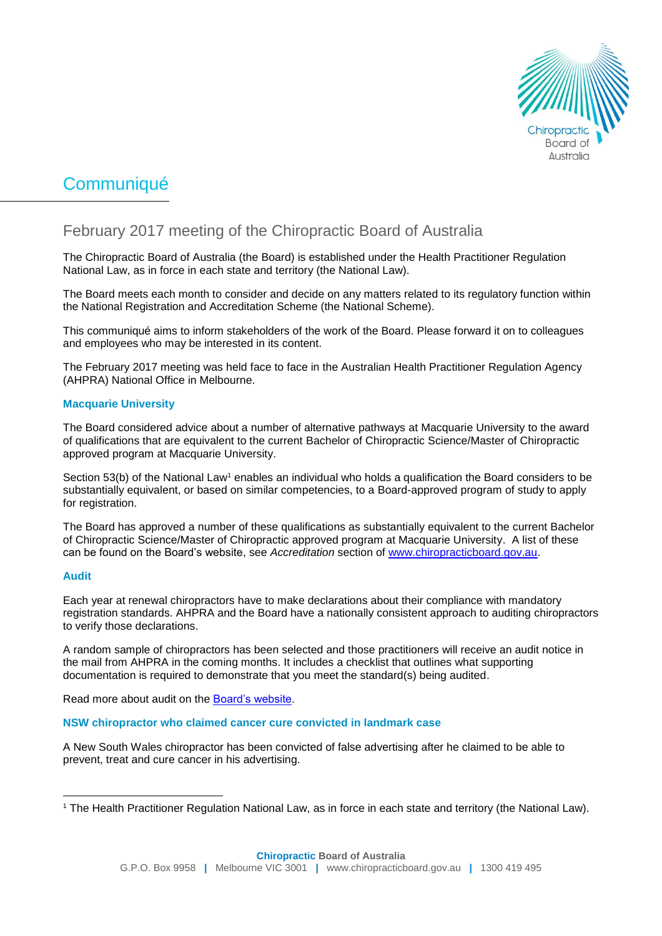

# **Communiqué**

# February 2017 meeting of the Chiropractic Board of Australia

The Chiropractic Board of Australia (the Board) is established under the Health Practitioner Regulation National Law, as in force in each state and territory (the National Law).

The Board meets each month to consider and decide on any matters related to its regulatory function within the National Registration and Accreditation Scheme (the National Scheme).

This communiqué aims to inform stakeholders of the work of the Board. Please forward it on to colleagues and employees who may be interested in its content.

The February 2017 meeting was held face to face in the Australian Health Practitioner Regulation Agency (AHPRA) National Office in Melbourne.

## **Macquarie University**

The Board considered advice about a number of alternative pathways at Macquarie University to the award of qualifications that are equivalent to the current Bachelor of Chiropractic Science/Master of Chiropractic approved program at Macquarie University.

Section 53(b) of the National Law<sup>1</sup> enables an individual who holds a qualification the Board considers to be substantially equivalent, or based on similar competencies, to a Board-approved program of study to apply for registration.

The Board has approved a number of these qualifications as substantially equivalent to the current Bachelor of Chiropractic Science/Master of Chiropractic approved program at Macquarie University. A list of these can be found on the Board's website, see *Accreditation* section of [www.chiropracticboard.gov.au.](http://www.chiropracticboard.gov.au/)

#### **Audit**

Each year at renewal chiropractors have to make declarations about their compliance with mandatory registration standards. AHPRA and the Board have a nationally consistent approach to auditing chiropractors to verify those declarations.

A random sample of chiropractors has been selected and those practitioners will receive an audit notice in the mail from AHPRA in the coming months. It includes a checklist that outlines what supporting documentation is required to demonstrate that you meet the standard(s) being audited.

Read more about audit on the [Board's website.](http://www.chiropracticboard.gov.au/Registration/Audit.aspx)

#### **NSW chiropractor who claimed cancer cure convicted in landmark case**

A New South Wales chiropractor has been convicted of false advertising after he claimed to be able to prevent, treat and cure cancer in his advertising.

 <sup>1</sup> The Health Practitioner Regulation National Law, as in force in each state and territory (the National Law).